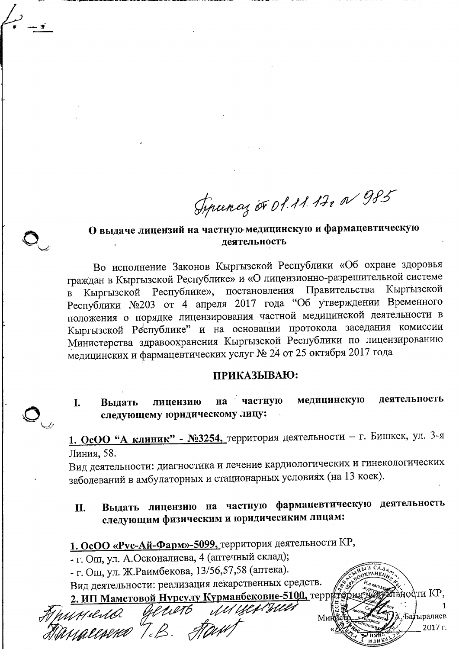Syrunas or 01.11.17, N 985

### О выдаче лицензий на частную медицинскую и фармацевтическую деятельность

Во исполнение Законов Кыргызской Республики «Об охране здоровья граждан в Кыргызской Республике» и «О лицензионно-разрешительной системе Республике», постановления Правительства Кыргызской Кыргызской  $\overline{B}$ Республики №203 от 4 апреля 2017 года "Об утверждении Временного положения о порядке лицензирования частной медицинской деятельности в Кыргызской Республике" и на основании протокола заседания комиссии Министерства здравоохранения Кыргызской Республики по лицензированию медицинских и фармацевтических услуг № 24 от 25 октября 2017 года

### ПРИКАЗЫВАЮ:

деятельность на частную медицинскую лицензию T. Вылать следующему юридическому лицу:

1. ОсОО "А клиник" - №3254, территория деятельности - г. Бишкек, ул. 3-я Линия, 58.

Вид деятельности: диагностика и лечение кардиологических и гинекологических заболеваний в амбулаторных и стационарных условиях (на 13 коек).

#### Выдать лицензию на частную фармацевтическую деятельность II. следующим физическим и юридичесиким лицам:

вности КР,

Батыралиев 2017 r.

1. ОсОО «Рус-Ай-Фарм»-5099, территория деятельности КР,

- г. Ош, ул. А.Осконалиева, 4 (аптечный склад);

- г. Ош, ул. Ж.Раимбекова, 13/56,57,58 (аптека).

Вид деятельности: реализация лекарственных средств.

2. ИП Маметовой Нурсулу Курманбековне-5100, террито Примена делеть<br>Пемассина Т.В. А.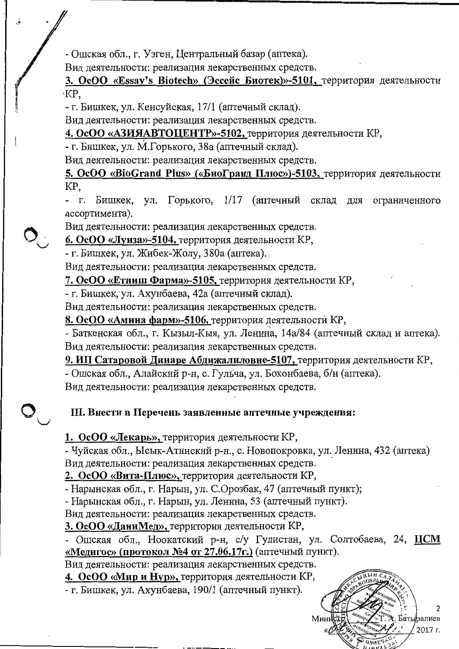- Ошская обл., г. Узген, Центральный базар (аптека).

Вид деятельности: реализация лекарственных средств.

3. OcOO «Essav's Biotech» (Эссейс Биотек)»-5101, территория деятельности KP.

- г. Бишкек, ул. Кенсуйская, 17/1 (аптечный склад).

Вид деятельности: реализация лекарственных средств.

## 4. ОсОО «АЗИЯАВТОЦЕНТР»-5102, территория деятельности КР,

- г. Бишкек, ул. М.Горького, 38а (аптечный склад).

Вид деятельности: реализация лекарственных средств.

5. OcOO «BioGrand Plus» («БиоГранд Плюс»)-5103, территория деятельности KP,

- г. Бишкек, ул. Горького, 1/17 (аптечный склад для ограниченного ассортимента).

Вид деятельности: реализация лекарственных средств.

6. ОсОО «Луиза»-5104, территория деятельности КР,

- г. Бишкек, ул. Жибек-Жолу, 380а (аптека).

Вид деятельности: реализация лекарственных средств.

7. ОсОО «Етниш Фарма»-5105, территория деятельности КР,

- г. Бишкек, ул. Ахунбаева, 42а (аптечный склад).

Вид деятельности: реализация лекарственных средств.

8. ОсОО «Амина фарм»-5106, территория деятельности КР,

- Баткенская обл., г. Кызыл-Кыя, ул. Ленина, 14а/84 (аптечный склад и аптека). Вид деятельности: реализация лекарственных средств.

9. ИП Сатаровой Динаре Абдижалиловне-5107, территория деятельности КР,

- Ошская обл., Алайский р-н, с. Гульча, ул. Боконбаева, б/н (аптека).

Вид деятельности: реализация лекарственных средств.

# III. Внести в Перечень заявленные аптечные учреждения:

1. ОсОО «Лекарь», территория деятельности КР,

- Чуйская обл., Ысык-Атинский р-н., с. Новопокровка, ул. Ленина, 432 (аптека) Вид деятельности: реализация лекарственных средств.

2. ОсОО «Вита-Плюс», территория деятельности КР,

- Нарынская обл., г. Нарын, ул. С. Орозбак, 47 (аптечный пункт);

- Нарынская обл., г. Нарын, ул. Ленина, 53 (аптечный пункт).

Вид деятельности: реализация лекарственных средств.

3. ОсОО «ДаниМед», территория деятельности КР,

- Ошская обл., Ноокатский р-н, с/у Гулистан, ул. Солтобаева, 24, ЦСМ «Медигос» (протокол №4 от 27.06.17г.) (аптечный пункт).

> Батыралиев 2017 г.

Вид деятельности: реализация лекарственных средств.

4. ОсОО «Мир и Нур», территория деятельности КР,

- г. Бишкек, ул. Ахунбаева, 190/1 (аптечный пункт).